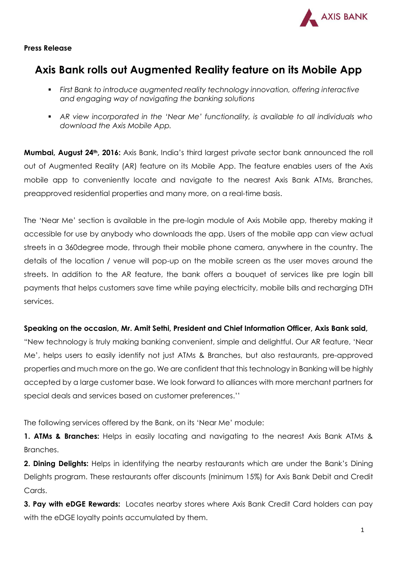

## **Press Release**

## **Axis Bank rolls out Augmented Reality feature on its Mobile App**

- *First Bank to introduce augmented reality technology innovation, offering interactive and engaging way of navigating the banking solutions*
- *AR view incorporated in the 'Near Me' functionality, is available to all individuals who download the Axis Mobile App.*

**Mumbai, August 24th, 2016:** Axis Bank, India's third largest private sector bank announced the roll out of Augmented Reality (AR) feature on its Mobile App. The feature enables users of the Axis mobile app to conveniently locate and navigate to the nearest Axis Bank ATMs, Branches, preapproved residential properties and many more, on a real-time basis.

The 'Near Me' section is available in the pre-login module of Axis Mobile app, thereby making it accessible for use by anybody who downloads the app. Users of the mobile app can view actual streets in a 360degree mode, through their mobile phone camera, anywhere in the country. The details of the location / venue will pop-up on the mobile screen as the user moves around the streets. In addition to the AR feature, the bank offers a bouquet of services like pre login bill payments that helps customers save time while paying electricity, mobile bills and recharging DTH services.

## **Speaking on the occasion, Mr. Amit Sethi, President and Chief Information Officer, Axis Bank said,**

"New technology is truly making banking convenient, simple and delightful. Our AR feature, 'Near Me', helps users to easily identify not just ATMs & Branches, but also restaurants, pre-approved properties and much more on the go. We are confident that this technology in Banking will be highly accepted by a large customer base. We look forward to alliances with more merchant partners for special deals and services based on customer preferences.''

The following services offered by the Bank, on its 'Near Me' module:

**1. ATMs & Branches:** Helps in easily locating and navigating to the nearest Axis Bank ATMs & Branches.

**2. Dining Delights:** Helps in identifying the nearby restaurants which are under the Bank's Dining Delights program. These restaurants offer discounts (minimum 15%) for Axis Bank Debit and Credit Cards.

**3. Pay with eDGE Rewards:** Locates nearby stores where Axis Bank Credit Card holders can pay with the eDGE loyalty points accumulated by them.